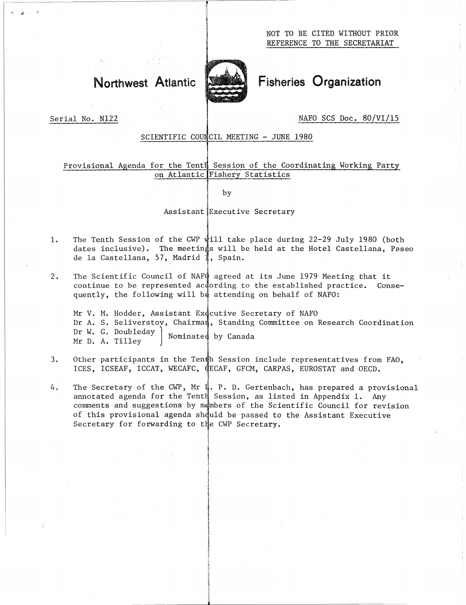

# Northwest Atlantic Fisheries Organization

 

Serial No. N122 and the series of the NAFO SCS Doc. 80/VI/15

# SCIENTIFIC COUNCIL MEETING - JUNE 1980

# Provisional Agenda for the Tenth Session of the Coordinating Working Party on Atlantic Fishery Statistics

by

Assistant Executive Secretary

- The Tenth Session of the CWP will take place during 22-29 July 1980 (both  $1.$ dates inclusive). The meetings will be held at the Hotel Castellana, Paseo de la Castellana, 57, Madrid 1, Spain. 7
- The Scientific Council of NAFO agreed at its June 1979 Meeting that it continue to be represented according to the established practice. Consequently, the following will be attending on behalf of NAFO:

The Tenth Sessio<br>dates inclusive)<br>de la Castellana<br>The Scientific C<br>continue to be r<br>quently, the fol<br>Mr V. M. Hodder,<br>Dr A. S. Seliver<br>Dr W. G. Doubled<br>Mr D. A. Tilley<br>Other participan<br>ICES, ICSEAF, IC I ] Nominated by CanadaMr V. M. Hodder, Assistant Executive Secretary of NAFO Dr A. S. Seliverstov, Chairman, Standing Committee on Research Coordination Dr W. G. Doubleday 3. Other participants in the Tenth Session, as listed in Appendix 1. Any CECAF, GECAF, GECAF, GECAF, GECAF, Asset and OCCD.<br>4. The Scientific Council of NAFQ agreed at its June 1979 Meeting that it continue to be represent

- ICES, ICSEAF, ICCAT, WECAFC, CECAF, GFCM, CARPAS, EUROSTAT and OECD.
- 4, In Secretary of the CWP, Mr 1, P. D. Gertenbach, has prepared a provisional amotated agenda for the Fently Secretary of NAFO.<br>4, The Secretary of Marting on behalf of NAFO:<br>5, Seliverstov, Chairman, Standing Committee o annotated agenda for the Tenth Session, as listed in Appendix 1. Any comments and suggestions by members of the Scientific Council for revision of this provisional agenda should be passed to the Assistant Executive Secretary for forwarding to the CWP Secretary.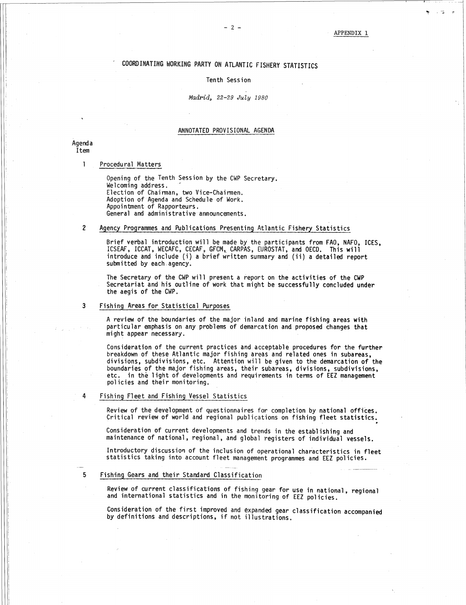# ' COORDINATING WORKING PARTY ON ATLANTIC FISHERY STATISTICS

## Tenth Session

### *Madrid, 22-29 July 1980*

### ANNOTATED PROVISIONAL AGENDA

Agenda Item

COORDINATIN<br>
India<br>
Procedural Matters<br>
Opening of the T<br>
Welcoming addres<br>
Election of Chai<br>
Adoption of Agen Opening of the Tenth Session by the CWP Secretary. Welcoming address. Election of Chairman, two Vice-Chairmen. Adoption of Agenda and Schedule of Work. Appointment of Rapporteurs. General and administrative announcements. MANOTATED PROVISIONAL AGENDA<br>
2 Procedural Matters<br>
2 Opening of the Tenth Session by the CWP Secretary.<br>
Welcoming address.<br>
Election of Chairman, two Vice-Chairmen.<br>
Adoption of Agenda and Schedule of Work.<br>
Appointment

Brief verbal introduction will be made by the participants from FAO, NAFO, ICES, ICSEAF, ICCAT, WECAFC, CECAF, GFCM, CARPAS, EUROSTAT, and OECD. This will introduce and include (i) a brief written summary and (ii) a detailed report submitted by each agency. Adoption of Agenda and Schedule of Wappointment of Rapporteurs.<br>
General and administrative announcem<br>
2 Agency Programmes and Publications Pre<br>
Brief verbal introduction will be ma<br>
ICSEAF, ICCAT, WECAFC, CECAF, GFCM,<br>
in

The Secretary of the CWP will present a report on the activities of the CWP Secretariat and his outline of work that might be successfully concluded under the aegis of the CWP.

A review of the boundaries of the major inland and marine fishing areas with particular emphasis on any problems of demarcation and proposed changes that might appear necessary.

Consideration of the current practices and acceptable procedures for the further breakdown of these Atlantic major fishing areas and related ones in subareas, divisions, subdivisions, etc. Attention will be given to the demarcation of the boundaries of the major fishing areas, their subareas, divisions, subdivisions, etc. in thè light of developments and requirements in terms of EEZ management policies and their monitoring. Fishing Areas for Statistical Purposes<br>
A review of the boundaries of the major i<br>
particular emphasis on any problems of de<br>
might appear necessary.<br>
Consideration of the current practices an<br>
breakdown of these Atlantic boundaries of the major fishing areas, their<br>etc. in the light of developments and requir<br>policies and their monitoring.<br>Fishing Fleet and Fishing Vessel Statistics<br>Review of the development of questionnaires f<br>Critical re

Review of the development of questionnaires for completion by national offices. Critical review of world and regional publications on fishing fleet statistics.

Consideration of current developments and trends in the establishing and maintenance of national, regional, and global registers of individual vessels.

Introductory discussion of the inclusion of operational characteristics in fleet statistics taking into account fleet management programmes and EEZ policies.

Review of current classifications of fishing gear for use in national, regional and international statistics and in the monitoring of EEZ policies.

Consideration of the first improved and expanded gear classification accompanied by definitions and descriptions, if not illustrations.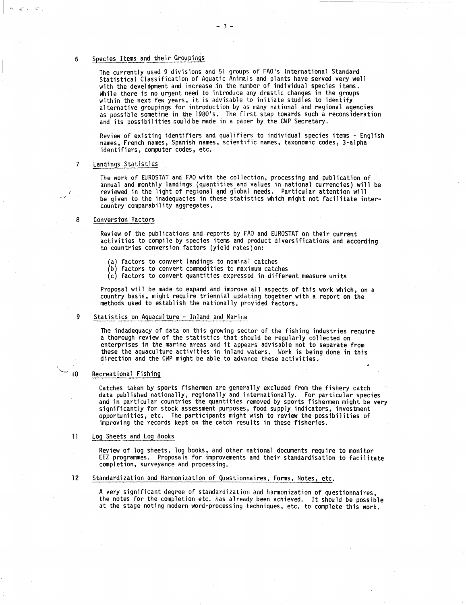$x^2 + 32$ 

Species Items and their Groupings<br>The currently used 9 divisions<br>Statistical Classification of  $\mu$ <br>with the development and increa The currently used 9 divisions and 51 groups of FAO's International Standard Statistical Classification of Aquatic Animals and plants have served very well with the development and increase in the number of individual species items. While there is no urgent need to introduce any drastic changes in the groups within the next few years, it is advisable to initiate studies to identify alternative groupings for introduction by as many national and regional agencies as possible sometime in the 1980's. The first step towards such a reconsideration and its possibilities could be made in a paper by the CWP Secretary.

 $-3 -$ 

Review of existing identifiers and qualifiers to individual species items - English names, French names, Spanish names, scientific names, taxonomic codes, 3-alpha identifiers, computer codes, etc.

### 7

The work of EUROSTAT and FAO with the collection, processing and publication of annual and monthly landings (quantities and values in national currencies) will be reviewed in the light of regional and global needs. Particular attention will be given to the inadequacies in these statistics which might not facilitate intercountry comparability aggregates. and its possibil<br>Review of existi<br>names, French na<br>identifiers, com<br>Landings Statistic<br>The work of EURO<br>annual and month<br>reviewed in the<br>be given to the<br>Conversion Factors<br>Review of the pu<br>activities to co

Review of the publications and reports by FAO and EUROSTAT on their current activities to compile by species items and product diversifications and according to countries conversion factors (yield rates)on: Solution Conversion Factors<br>
Review of the publications and reports by F<br>
activities to compile by species items and<br>
to countries conversion factors (yield rate<br>
(a) factors to convert landings to nomina<br>
(b) factors to c

- (a) factors to convert landings to nominal catches
- $(b)$  factors to convert commodities to maximum catches
- (c) factors to convert quantities expressed in different measure units

Proposal will be made to expand and improve all aspects of this work which, on a country basis, might require triennial updating together with a report on the methods used to establish the nationally provided factors.

The indadequacy of data on this growing sector of the fishing industries require a thorough review of the statistics that should be regularly collected on enterprises in the marine areas and it appears advisable not to separate from these the aquaculture activities in inland waters. Work is being done in this direction and the CWP might be able to advance these activities, (c) factors to c<br>
Proposal will be m<br>
country basis, mig<br>
methods used to es<br>
9<br>
Statistics on Aquacu<br>
The indadequacy of<br>
a thorough review<br>
enterprises in the<br>
these the aquacult<br>
direction and the<br>
Recreational Fishing<br>

Catches taken by sports fishermen are generally excluded from the fishery catch data published nationally, regionally and internationally. For particular species and in particular countries the quantities removed by sports fishermen might be very significantly for stock assessment purposes, food supply indicators, investment opportunities, etc. The participants might wish to review the possibilities of improving the records kept on the catch results in these fisheries. The indadequacy of data<br>
a thorough review of t<br>
enterprises in the man<br>
these the aquaculture<br>
direction and the CWP<br>
10<br>
Recreational Fishing<br>
Catches taken by sport<br>
data published nationa<br>
and in particular coun<br>
signi 12<br>
12 Standard Staten by sports fishermen are generally excluded from the fidata published nationally, regionally and internationally. For part<br>
12 and in particular countries the quantities removed by sports fisherm<br>
12

•

Review of log sheets, log books, and other national documents require to monitor EEZ programmes. Proposals for improvements and their standardisation to facilitate completion, surveyance and processing.

A very significant degree of standardization and harmonization of questionnaires, the notes for the completion etc. has already been achieved. It should be possible at the stage noting modern word-processing techniques, etc. to complete this work.